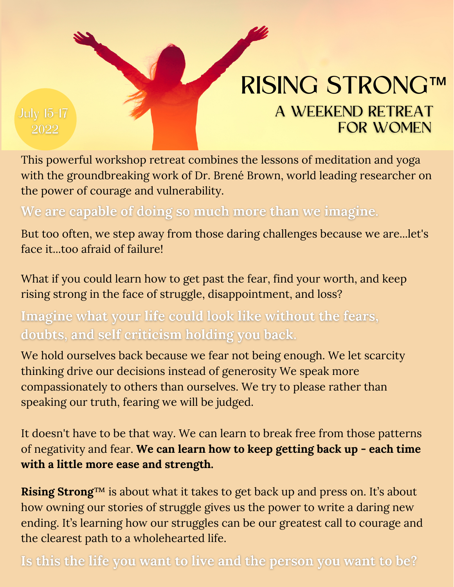

### RISING STRONG™ A WEEKEND RETREAT **FOR WOMEN**

This powerful workshop retreat combines the lessons of meditation and yoga with the groundbreaking work of Dr. Brené Brown, world leading researcher on the power of courage and vulnerability.

We are capable of doing so much more than we imagine.

But too often, we step away from those daring challenges because we are...let's face it...too afraid of failure!

What if you could learn how to get past the fear, find your worth, and keep rising strong in the face of struggle, disappointment, and loss?

Imagine what your life could look like without the fears, doubts, and self criticism holding you back.

We hold ourselves back because we fear not being enough. We let scarcity thinking drive our decisions instead of generosity We speak more compassionately to others than ourselves. We try to please rather than speaking our truth, fearing we will be judged.

It doesn't have to be that way. We can learn to break free from those patterns of negativity and fear. **We can learn how to keep getting back up - each time with a little more ease and strength.**

**Rising Strong**™ is about what it takes to get back up and press on. It's about how owning our stories of struggle gives us the power to write a daring new ending. It's learning how our struggles can be our greatest call to courage and the clearest path to a wholehearted life.

Is this the life you want to live and the person you want to be?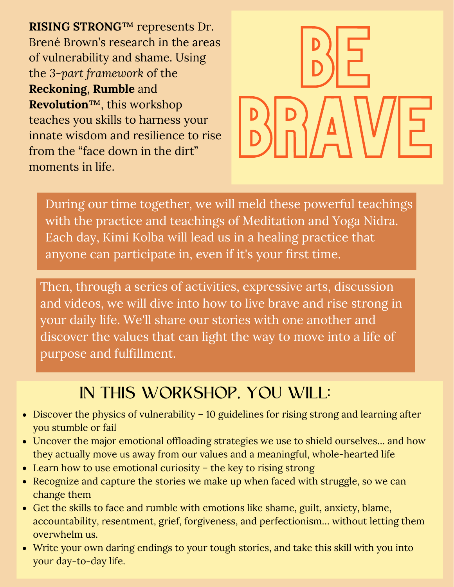**RISING STRONG**™ represents Dr. Brené Brown's research in the areas of vulnerability and shame. Using the *3-part framework* of the **Reckoning**, **Rumble** and **Revolution**™, this workshop teaches you skills to harness your innate wisdom and resilience to rise from the "face down in the dirt" moments in life.



During our time together, we will meld these powerful teachings with the practice and teachings of Meditation and Yoga Nidra. Each day, Kimi Kolba will lead us in a healing practice that anyone can participate in, even if it's your first time.

Then, through a series of activities, expressive arts, discussion and videos, we will dive into how to live brave and rise strong in your daily life. We'll share our stories with one another and discover the values that can light the way to move into a life of purpose and fulfillment.

#### IN THIS WORKSHOP, YOU WILL:

- Discover the physics of vulnerability 10 guidelines for rising strong and learning after you stumble or fail
- Uncover the major emotional offloading strategies we use to shield ourselves… and how they actually move us away from our values and a meaningful, whole-hearted life
- Learn how to use emotional curiosity the key to rising strong
- Recognize and capture the stories we make up when faced with struggle, so we can change them
- Get the skills to face and rumble with emotions like shame, guilt, anxiety, blame, accountability, resentment, grief, forgiveness, and perfectionism… without letting them overwhelm us.
- Write your own daring endings to your tough stories, and take this skill with you into your day-to-day life.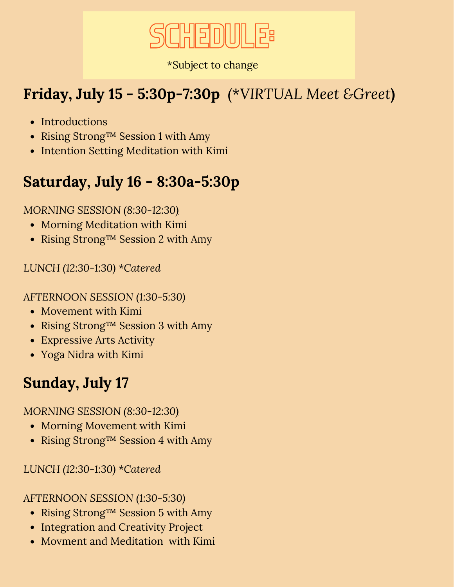

\*Subject to change

#### **Friday, July 15 - 5:30p-7:30p** *(*\**VIRTUAL Meet &Greet***)**

- Introductions
- Rising Strong™ Session 1 with Amy
- Intention Setting Meditation with Kimi

#### **Saturday, July 16 - 8:30a-5:30p**

*MORNING SESSION (8:30-12:30)*

- Morning Meditation with Kimi
- Rising Strong™ Session 2 with Amy

*LUNCH (12:30-1:30) \*Catered*

*AFTERNOON SESSION (1:30-5:30)*

- Movement with Kimi
- Rising Strong™ Session 3 with Amy
- Expressive Arts Activity
- Yoga Nidra with Kimi

#### **Sunday, July 17**

*MORNING SESSION (8:30-12:30)*

- Morning Movement with Kimi
- Rising Strong™ Session 4 with Amy

*LUNCH (12:30-1:30) \*Catered*

*AFTERNOON SESSION (1:30-5:30)*

- Rising Strong™ Session 5 with Amy
- Integration and Creativity Project
- Movment and Meditation with Kimi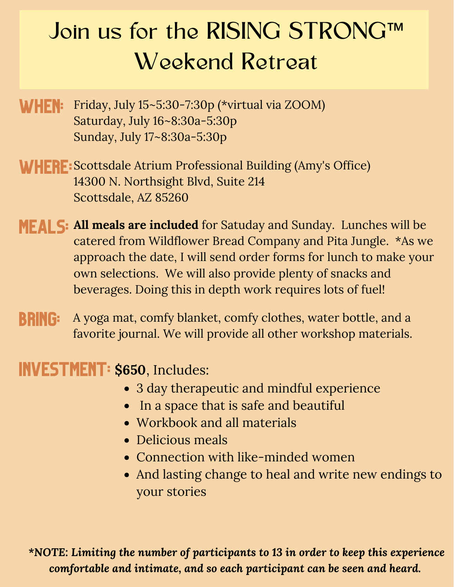## Join us for the RISING STRONG™ Weekend Retreat

- **WHEN:** Friday, July 15~5:30-7:30p (\*virtual via ZOOM) Saturday, July 16~8:30a-5:30p Sunday, July 17~8:30a-5:30p
- WHERE: Scottsdale Atrium Professional Building (Amy's Office) 14300 N. Northsight Blvd, Suite 214 Scottsdale, AZ 85260
- MEALS: **All meals are included** for Satuday and Sunday. Lunches will be catered from Wildflower Bread Company and Pita Jungle. \*As we approach the date, I will send order forms for lunch to make your own selections. We will also provide plenty of snacks and beverages. Doing this in depth work requires lots of fuel!
- BRING: A yoga mat, comfy blanket, comfy clothes, water bottle, and a favorite journal. We will provide all other workshop materials.

INVESTMENT: **\$650**, Includes:

- 3 day therapeutic and mindful experience
- In a space that is safe and beautiful
- Workbook and all materials
- Delicious meals
- Connection with like-minded women
- And lasting change to heal and write new endings to your stories

*\*NOTE: Limiting the number of participants to 13 in order to keep this experience comfortable and intimate, and so each participant can be seen and heard.*